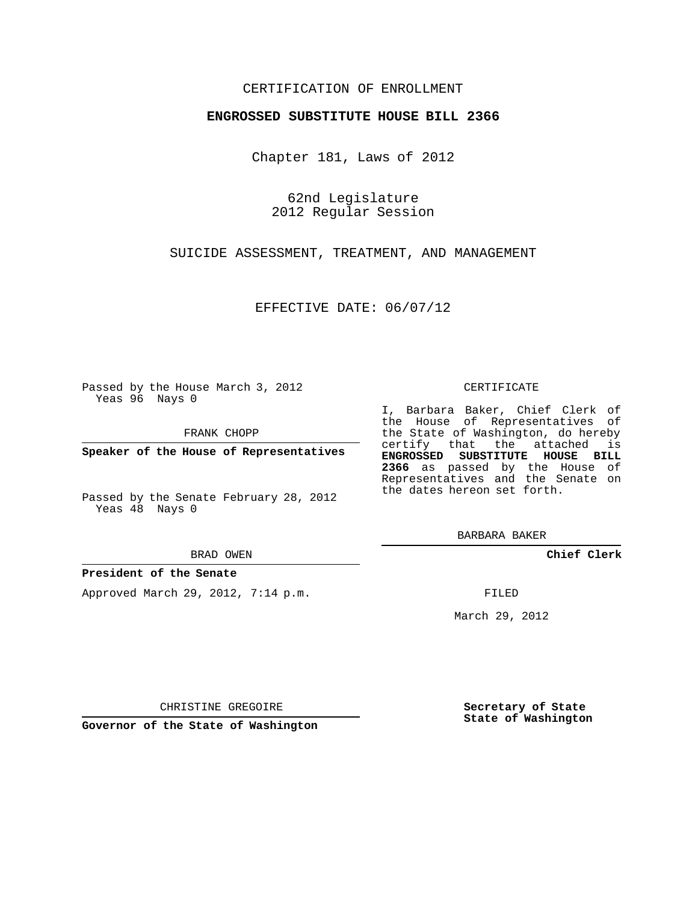## CERTIFICATION OF ENROLLMENT

### **ENGROSSED SUBSTITUTE HOUSE BILL 2366**

Chapter 181, Laws of 2012

62nd Legislature 2012 Regular Session

SUICIDE ASSESSMENT, TREATMENT, AND MANAGEMENT

EFFECTIVE DATE: 06/07/12

Passed by the House March 3, 2012 Yeas 96 Nays 0

FRANK CHOPP

**Speaker of the House of Representatives**

Passed by the Senate February 28, 2012 Yeas 48 Nays 0

#### BRAD OWEN

### **President of the Senate**

Approved March 29, 2012, 7:14 p.m.

#### CERTIFICATE

I, Barbara Baker, Chief Clerk of the House of Representatives of the State of Washington, do hereby certify that the attached is **ENGROSSED SUBSTITUTE HOUSE BILL 2366** as passed by the House of Representatives and the Senate on the dates hereon set forth.

BARBARA BAKER

**Chief Clerk**

FILED

March 29, 2012

**Secretary of State State of Washington**

CHRISTINE GREGOIRE

**Governor of the State of Washington**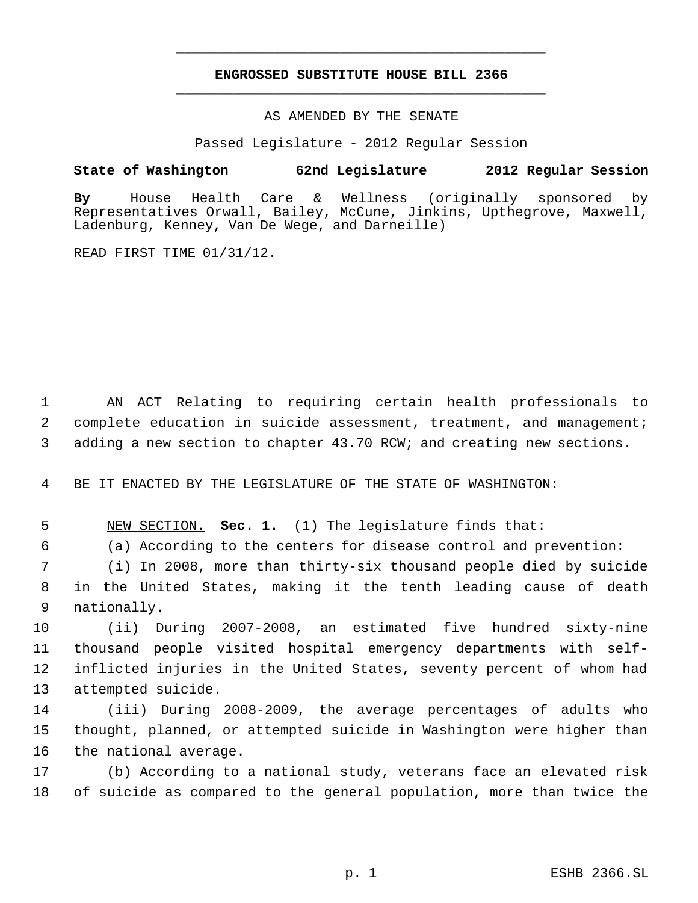# **ENGROSSED SUBSTITUTE HOUSE BILL 2366** \_\_\_\_\_\_\_\_\_\_\_\_\_\_\_\_\_\_\_\_\_\_\_\_\_\_\_\_\_\_\_\_\_\_\_\_\_\_\_\_\_\_\_\_\_

\_\_\_\_\_\_\_\_\_\_\_\_\_\_\_\_\_\_\_\_\_\_\_\_\_\_\_\_\_\_\_\_\_\_\_\_\_\_\_\_\_\_\_\_\_

AS AMENDED BY THE SENATE

Passed Legislature - 2012 Regular Session

## **State of Washington 62nd Legislature 2012 Regular Session**

**By** House Health Care & Wellness (originally sponsored by Representatives Orwall, Bailey, McCune, Jinkins, Upthegrove, Maxwell, Ladenburg, Kenney, Van De Wege, and Darneille)

READ FIRST TIME 01/31/12.

 1 AN ACT Relating to requiring certain health professionals to 2 complete education in suicide assessment, treatment, and management; 3 adding a new section to chapter 43.70 RCW; and creating new sections.

4 BE IT ENACTED BY THE LEGISLATURE OF THE STATE OF WASHINGTON:

5 NEW SECTION. **Sec. 1.** (1) The legislature finds that:

6 (a) According to the centers for disease control and prevention:

 7 (i) In 2008, more than thirty-six thousand people died by suicide 8 in the United States, making it the tenth leading cause of death 9 nationally.

 (ii) During 2007-2008, an estimated five hundred sixty-nine thousand people visited hospital emergency departments with self- inflicted injuries in the United States, seventy percent of whom had attempted suicide.

14 (iii) During 2008-2009, the average percentages of adults who 15 thought, planned, or attempted suicide in Washington were higher than 16 the national average.

17 (b) According to a national study, veterans face an elevated risk 18 of suicide as compared to the general population, more than twice the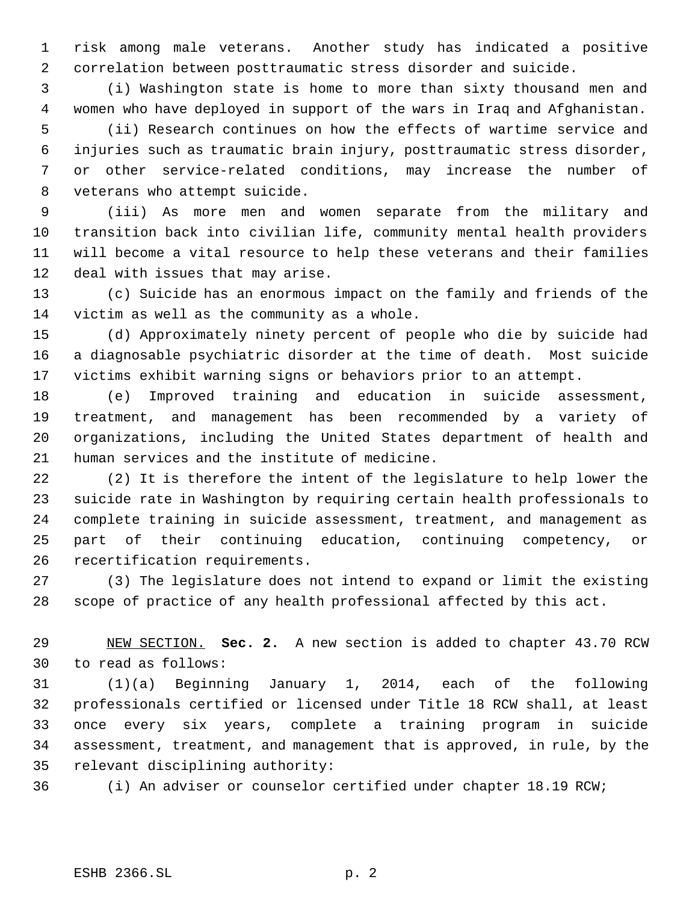risk among male veterans. Another study has indicated a positive correlation between posttraumatic stress disorder and suicide.

 (i) Washington state is home to more than sixty thousand men and women who have deployed in support of the wars in Iraq and Afghanistan. (ii) Research continues on how the effects of wartime service and injuries such as traumatic brain injury, posttraumatic stress disorder, or other service-related conditions, may increase the number of veterans who attempt suicide.

 (iii) As more men and women separate from the military and transition back into civilian life, community mental health providers will become a vital resource to help these veterans and their families deal with issues that may arise.

 (c) Suicide has an enormous impact on the family and friends of the victim as well as the community as a whole.

 (d) Approximately ninety percent of people who die by suicide had a diagnosable psychiatric disorder at the time of death. Most suicide victims exhibit warning signs or behaviors prior to an attempt.

 (e) Improved training and education in suicide assessment, treatment, and management has been recommended by a variety of organizations, including the United States department of health and human services and the institute of medicine.

 (2) It is therefore the intent of the legislature to help lower the suicide rate in Washington by requiring certain health professionals to complete training in suicide assessment, treatment, and management as part of their continuing education, continuing competency, or recertification requirements.

 (3) The legislature does not intend to expand or limit the existing scope of practice of any health professional affected by this act.

 NEW SECTION. **Sec. 2.** A new section is added to chapter 43.70 RCW to read as follows:

 (1)(a) Beginning January 1, 2014, each of the following professionals certified or licensed under Title 18 RCW shall, at least once every six years, complete a training program in suicide assessment, treatment, and management that is approved, in rule, by the relevant disciplining authority:

(i) An adviser or counselor certified under chapter 18.19 RCW;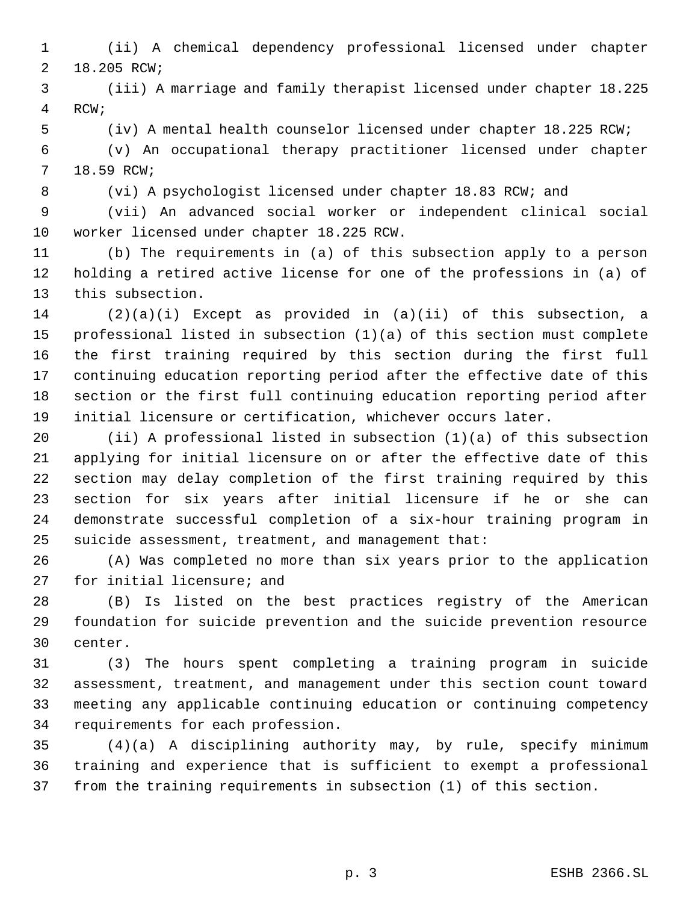(ii) A chemical dependency professional licensed under chapter 18.205 RCW;

 (iii) A marriage and family therapist licensed under chapter 18.225 RCW;

(iv) A mental health counselor licensed under chapter 18.225 RCW;

 (v) An occupational therapy practitioner licensed under chapter 18.59 RCW;

(vi) A psychologist licensed under chapter 18.83 RCW; and

 (vii) An advanced social worker or independent clinical social worker licensed under chapter 18.225 RCW.

 (b) The requirements in (a) of this subsection apply to a person holding a retired active license for one of the professions in (a) of this subsection.

 (2)(a)(i) Except as provided in (a)(ii) of this subsection, a professional listed in subsection (1)(a) of this section must complete the first training required by this section during the first full continuing education reporting period after the effective date of this section or the first full continuing education reporting period after initial licensure or certification, whichever occurs later.

 (ii) A professional listed in subsection (1)(a) of this subsection applying for initial licensure on or after the effective date of this section may delay completion of the first training required by this section for six years after initial licensure if he or she can demonstrate successful completion of a six-hour training program in suicide assessment, treatment, and management that:

 (A) Was completed no more than six years prior to the application for initial licensure; and

 (B) Is listed on the best practices registry of the American foundation for suicide prevention and the suicide prevention resource center.

 (3) The hours spent completing a training program in suicide assessment, treatment, and management under this section count toward meeting any applicable continuing education or continuing competency requirements for each profession.

 (4)(a) A disciplining authority may, by rule, specify minimum training and experience that is sufficient to exempt a professional from the training requirements in subsection (1) of this section.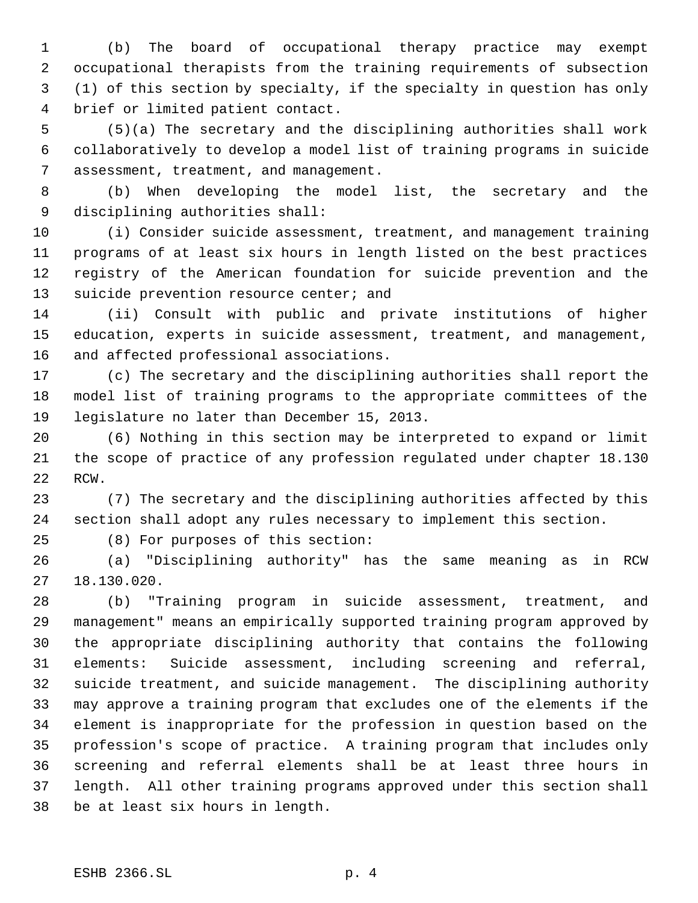(b) The board of occupational therapy practice may exempt occupational therapists from the training requirements of subsection (1) of this section by specialty, if the specialty in question has only brief or limited patient contact.

 (5)(a) The secretary and the disciplining authorities shall work collaboratively to develop a model list of training programs in suicide assessment, treatment, and management.

 (b) When developing the model list, the secretary and the disciplining authorities shall:

 (i) Consider suicide assessment, treatment, and management training programs of at least six hours in length listed on the best practices registry of the American foundation for suicide prevention and the 13 suicide prevention resource center; and

 (ii) Consult with public and private institutions of higher education, experts in suicide assessment, treatment, and management, and affected professional associations.

 (c) The secretary and the disciplining authorities shall report the model list of training programs to the appropriate committees of the legislature no later than December 15, 2013.

 (6) Nothing in this section may be interpreted to expand or limit the scope of practice of any profession regulated under chapter 18.130 RCW.

 (7) The secretary and the disciplining authorities affected by this section shall adopt any rules necessary to implement this section.

(8) For purposes of this section:

 (a) "Disciplining authority" has the same meaning as in RCW 18.130.020.

 (b) "Training program in suicide assessment, treatment, and management" means an empirically supported training program approved by the appropriate disciplining authority that contains the following elements: Suicide assessment, including screening and referral, suicide treatment, and suicide management. The disciplining authority may approve a training program that excludes one of the elements if the element is inappropriate for the profession in question based on the profession's scope of practice. A training program that includes only screening and referral elements shall be at least three hours in length. All other training programs approved under this section shall be at least six hours in length.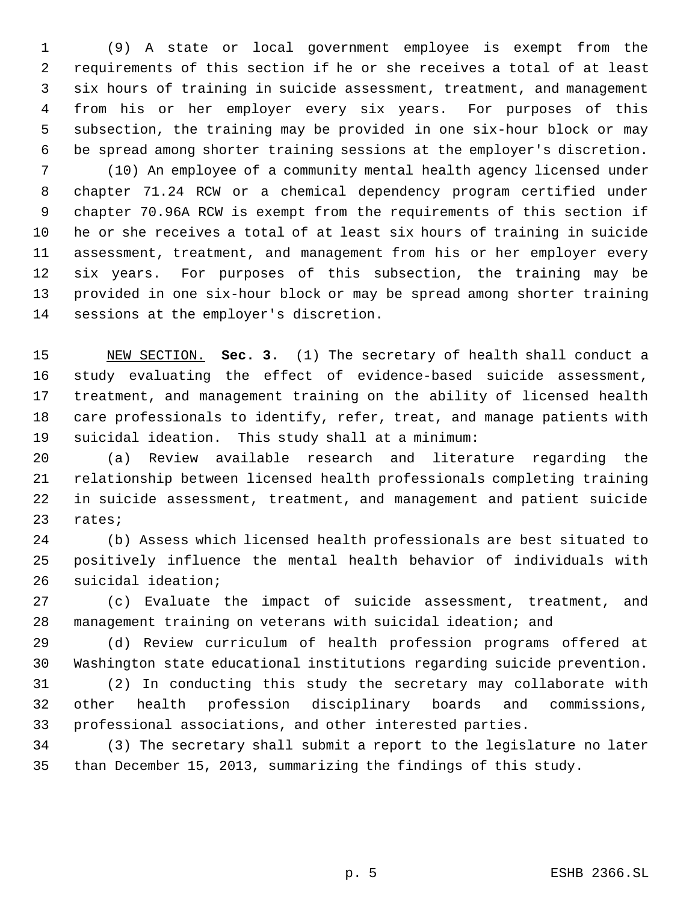(9) A state or local government employee is exempt from the requirements of this section if he or she receives a total of at least six hours of training in suicide assessment, treatment, and management from his or her employer every six years. For purposes of this subsection, the training may be provided in one six-hour block or may be spread among shorter training sessions at the employer's discretion. (10) An employee of a community mental health agency licensed under chapter 71.24 RCW or a chemical dependency program certified under chapter 70.96A RCW is exempt from the requirements of this section if he or she receives a total of at least six hours of training in suicide assessment, treatment, and management from his or her employer every six years. For purposes of this subsection, the training may be provided in one six-hour block or may be spread among shorter training sessions at the employer's discretion.

 NEW SECTION. **Sec. 3.** (1) The secretary of health shall conduct a study evaluating the effect of evidence-based suicide assessment, treatment, and management training on the ability of licensed health care professionals to identify, refer, treat, and manage patients with suicidal ideation. This study shall at a minimum:

 (a) Review available research and literature regarding the relationship between licensed health professionals completing training in suicide assessment, treatment, and management and patient suicide rates;

 (b) Assess which licensed health professionals are best situated to positively influence the mental health behavior of individuals with suicidal ideation;

 (c) Evaluate the impact of suicide assessment, treatment, and management training on veterans with suicidal ideation; and

 (d) Review curriculum of health profession programs offered at Washington state educational institutions regarding suicide prevention.

 (2) In conducting this study the secretary may collaborate with other health profession disciplinary boards and commissions, professional associations, and other interested parties.

 (3) The secretary shall submit a report to the legislature no later than December 15, 2013, summarizing the findings of this study.